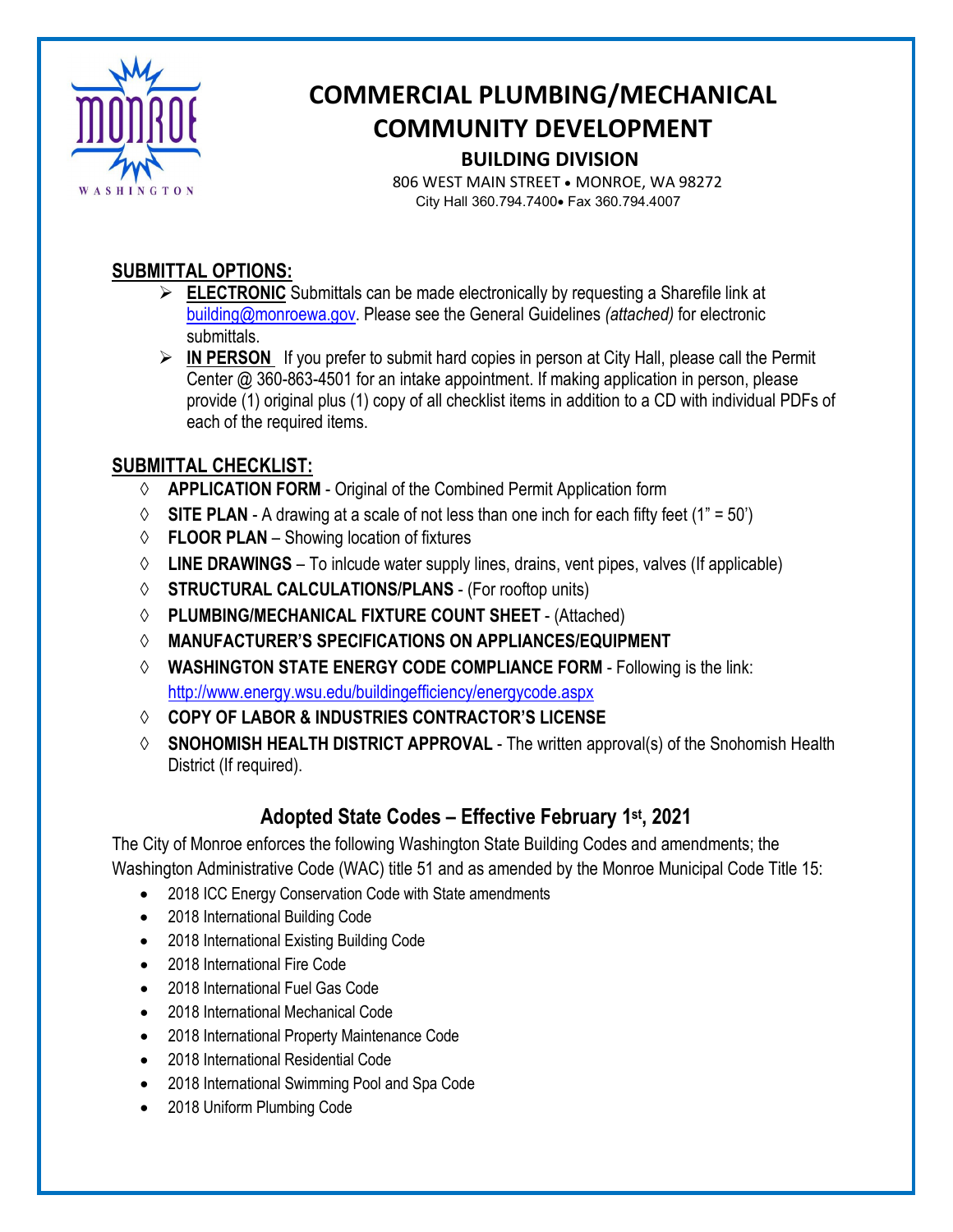

# **COMMERCIAL PLUMBING/MECHANICAL COMMUNITY DEVELOPMENT BUILDING DIVISION**

 806 WEST MAIN STREET • MONROE, WA 98272 City Hall 360.794.7400• Fax 360.794.4007

#### **SUBMITTAL OPTIONS:**

- **ELECTRONIC** Submittals can be made electronically by requesting a Sharefile link at [building@monroewa.gov.](mailto:building@monroewa.gov) Please see the General Guidelines *(attached)* for electronic submittals.
- **IN PERSON** If you prefer to submit hard copies in person at City Hall, please call the Permit Center @ 360-863-4501 for an intake appointment. If making application in person, please provide (1) original plus (1) copy of all checklist items in addition to a CD with individual PDFs of each of the required items.

### **SUBMITTAL CHECKLIST:**

- ◊ **APPLICATION FORM** Original of the Combined Permit Application form
- $\Diamond$  **SITE PLAN** A drawing at a scale of not less than one inch for each fifty feet (1" = 50")
- ◊ **FLOOR PLAN**  Showing location of fixtures
- ◊ **LINE DRAWINGS** To inlcude water supply lines, drains, vent pipes, valves (If applicable)
- ◊ **STRUCTURAL CALCULATIONS/PLANS** (For rooftop units)
- ◊ **PLUMBING/MECHANICAL FIXTURE COUNT SHEET** (Attached)
- ◊ **MANUFACTURER'S SPECIFICATIONS ON APPLIANCES/EQUIPMENT**
- ◊ **WASHINGTON STATE ENERGY CODE COMPLIANCE FORM**  Following is the link: <http://www.energy.wsu.edu/buildingefficiency/energycode.aspx>
- ◊ **COPY OF LABOR & INDUSTRIES CONTRACTOR'S LICENSE**
- ◊ **SNOHOMISH HEALTH DISTRICT APPROVAL**  The written approval(s) of the Snohomish Health District (If required).

## **Adopted State Codes – Effective February 1st, 2021**

The City of Monroe enforces the following Washington State Building Codes and amendments; the Washington Administrative Code (WAC) title 51 and as amended by the Monroe Municipal Code Title 15:

- 2018 ICC Energy Conservation Code with State amendments
- 2018 International Building Code
- 2018 International Existing Building Code
- 2018 International Fire Code
- 2018 International Fuel Gas Code
- 2018 International Mechanical Code
- 2018 International Property Maintenance Code
- 2018 International Residential Code
- 2018 International Swimming Pool and Spa Code
- 2018 Uniform Plumbing Code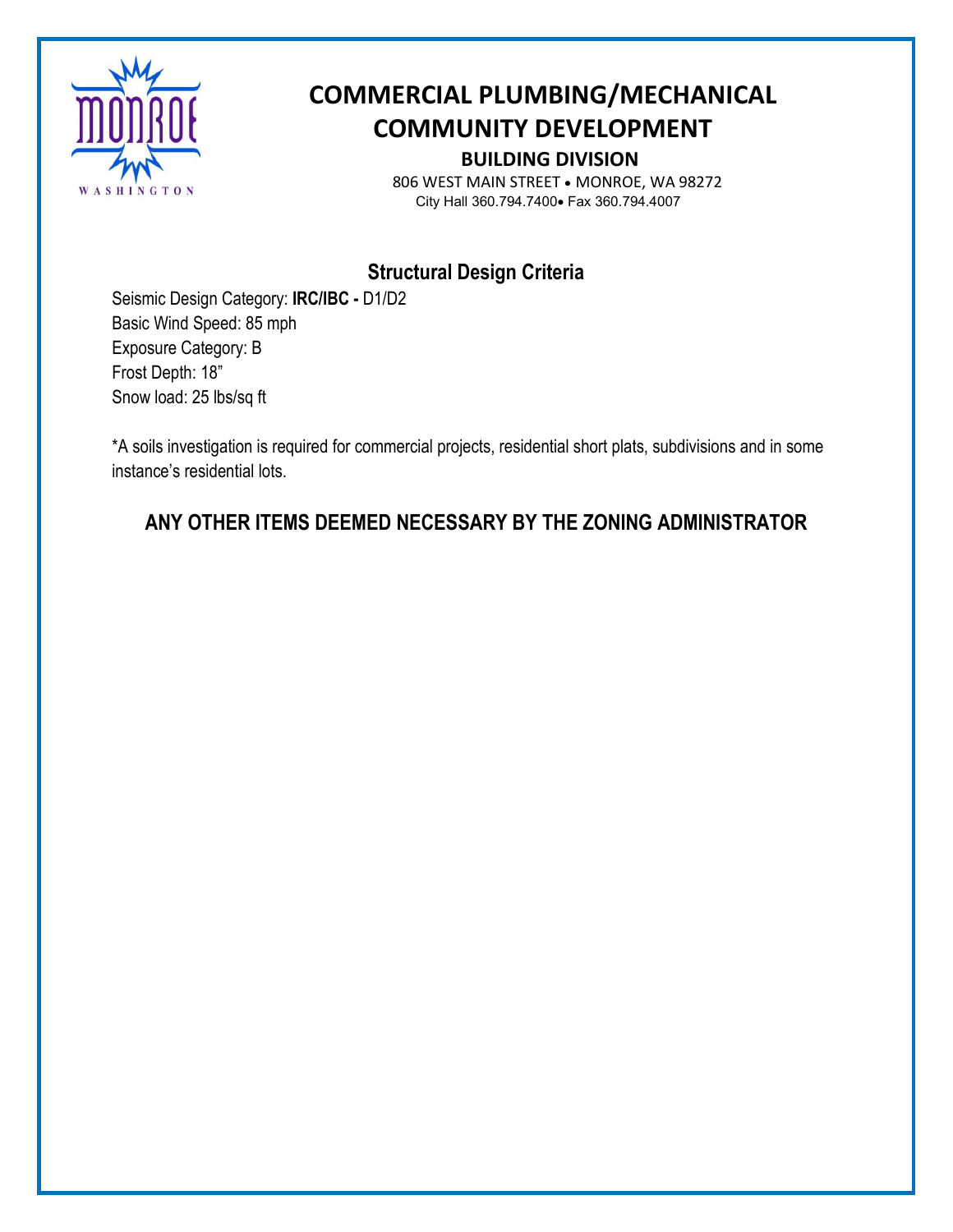

# **COMMERCIAL PLUMBING/MECHANICAL COMMUNITY DEVELOPMENT BUILDING DIVISION**

 806 WEST MAIN STREET • MONROE, WA 98272 City Hall 360.794.7400• Fax 360.794.4007

## **Structural Design Criteria**

Seismic Design Category: **IRC/IBC -** D1/D2 Basic Wind Speed: 85 mph Exposure Category: B Frost Depth: 18" Snow load: 25 lbs/sq ft

\*A soils investigation is required for commercial projects, residential short plats, subdivisions and in some instance's residential lots.

## **ANY OTHER ITEMS DEEMED NECESSARY BY THE ZONING ADMINISTRATOR**